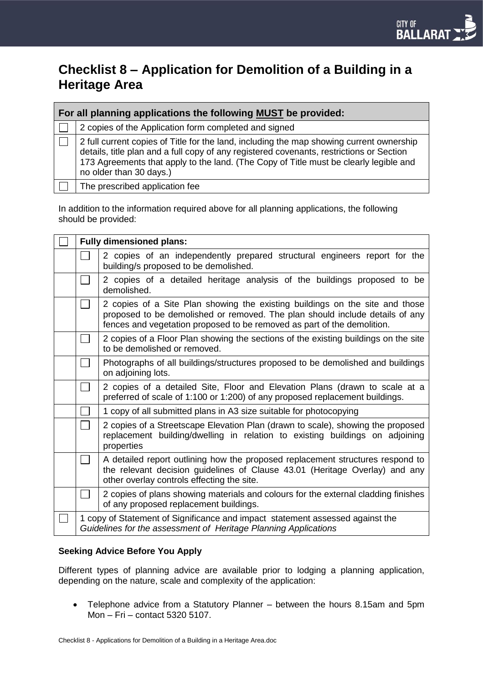# **Checklist 8 – Application for Demolition of a Building in a Heritage Area**

| For all planning applications the following MUST be provided: |                                                                                                                                                                                                                                                                                                          |  |
|---------------------------------------------------------------|----------------------------------------------------------------------------------------------------------------------------------------------------------------------------------------------------------------------------------------------------------------------------------------------------------|--|
|                                                               | 2 copies of the Application form completed and signed                                                                                                                                                                                                                                                    |  |
|                                                               | 2 full current copies of Title for the land, including the map showing current ownership<br>details, title plan and a full copy of any registered covenants, restrictions or Section<br>173 Agreements that apply to the land. (The Copy of Title must be clearly legible and<br>no older than 30 days.) |  |
|                                                               | The prescribed application fee                                                                                                                                                                                                                                                                           |  |

In addition to the information required above for all planning applications, the following should be provided:

| <b>Fully dimensioned plans:</b> |                                                                                                                                                                                                                                         |  |
|---------------------------------|-----------------------------------------------------------------------------------------------------------------------------------------------------------------------------------------------------------------------------------------|--|
|                                 | 2 copies of an independently prepared structural engineers report for the<br>building/s proposed to be demolished.                                                                                                                      |  |
|                                 | 2 copies of a detailed heritage analysis of the buildings proposed to be<br>demolished.                                                                                                                                                 |  |
| $\Box$                          | 2 copies of a Site Plan showing the existing buildings on the site and those<br>proposed to be demolished or removed. The plan should include details of any<br>fences and vegetation proposed to be removed as part of the demolition. |  |
|                                 | 2 copies of a Floor Plan showing the sections of the existing buildings on the site<br>to be demolished or removed.                                                                                                                     |  |
| $\mathbf{L}$                    | Photographs of all buildings/structures proposed to be demolished and buildings<br>on adjoining lots.                                                                                                                                   |  |
| $\Box$                          | 2 copies of a detailed Site, Floor and Elevation Plans (drawn to scale at a<br>preferred of scale of 1:100 or 1:200) of any proposed replacement buildings.                                                                             |  |
|                                 | 1 copy of all submitted plans in A3 size suitable for photocopying                                                                                                                                                                      |  |
|                                 | 2 copies of a Streetscape Elevation Plan (drawn to scale), showing the proposed<br>replacement building/dwelling in relation to existing buildings on adjoining<br>properties                                                           |  |
| $\Box$                          | A detailed report outlining how the proposed replacement structures respond to<br>the relevant decision guidelines of Clause 43.01 (Heritage Overlay) and any<br>other overlay controls effecting the site.                             |  |
| $\mathbb{R}^n$                  | 2 copies of plans showing materials and colours for the external cladding finishes<br>of any proposed replacement buildings.                                                                                                            |  |
|                                 | 1 copy of Statement of Significance and impact statement assessed against the<br>Guidelines for the assessment of Heritage Planning Applications                                                                                        |  |

## **Seeking Advice Before You Apply**

Different types of planning advice are available prior to lodging a planning application, depending on the nature, scale and complexity of the application:

• Telephone advice from a Statutory Planner – between the hours 8.15am and 5pm Mon – Fri – contact 5320 5107.